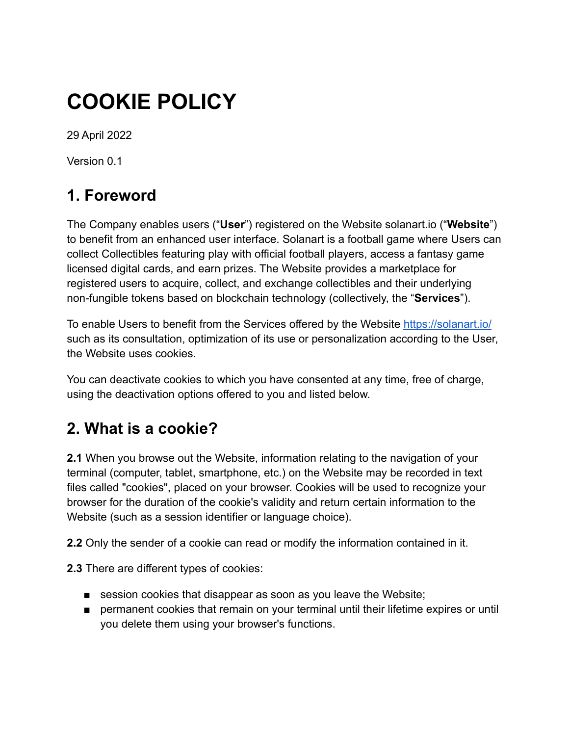# **COOKIE POLICY**

29 April 2022

Version 0.1

# **1. Foreword**

The Company enables users ("**User**") registered on the Website solanart.io ("**Website**") to benefit from an enhanced user interface. Solanart is a football game where Users can collect Collectibles featuring play with official football players, access a fantasy game licensed digital cards, and earn prizes. The Website provides a marketplace for registered users to acquire, collect, and exchange collectibles and their underlying non-fungible tokens based on blockchain technology (collectively, the "**Services**").

To enable Users to benefit from the Services offered by the Website <https://solanart.io/> such as its consultation, optimization of its use or personalization according to the User, the Website uses cookies.

You can deactivate cookies to which you have consented at any time, free of charge, using the deactivation options offered to you and listed below.

# **2. What is a cookie?**

**2.1** When you browse out the Website, information relating to the navigation of your terminal (computer, tablet, smartphone, etc.) on the Website may be recorded in text files called "cookies", placed on your browser. Cookies will be used to recognize your browser for the duration of the cookie's validity and return certain information to the Website (such as a session identifier or language choice).

**2.2** Only the sender of a cookie can read or modify the information contained in it.

**2.3** There are different types of cookies:

- session cookies that disappear as soon as you leave the Website;
- permanent cookies that remain on your terminal until their lifetime expires or until you delete them using your browser's functions.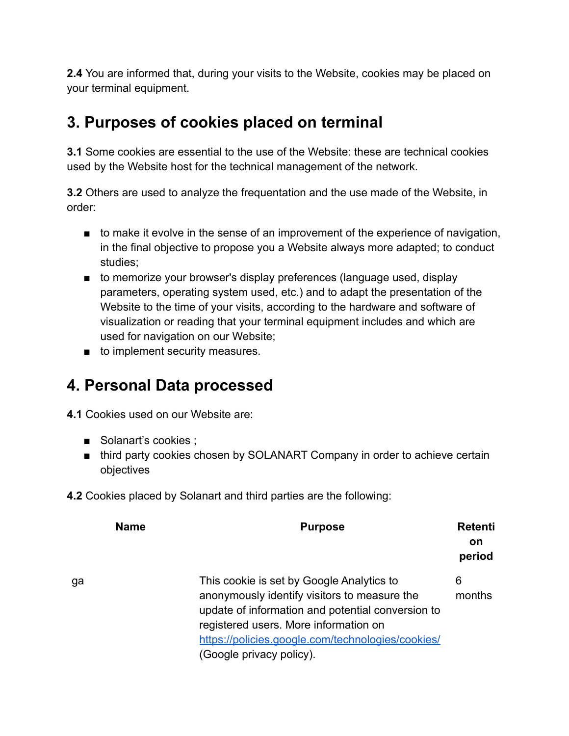**2.4** You are informed that, during your visits to the Website, cookies may be placed on your terminal equipment.

# **3. Purposes of cookies placed on terminal**

**3.1** Some cookies are essential to the use of the Website: these are technical cookies used by the Website host for the technical management of the network.

**3.2** Others are used to analyze the frequentation and the use made of the Website, in order:

- to make it evolve in the sense of an improvement of the experience of navigation, in the final objective to propose you a Website always more adapted; to conduct studies;
- to memorize your browser's display preferences (language used, display parameters, operating system used, etc.) and to adapt the presentation of the Website to the time of your visits, according to the hardware and software of visualization or reading that your terminal equipment includes and which are used for navigation on our Website;
- to implement security measures.

### **4. Personal Data processed**

**4.1** Cookies used on our Website are:

- Solanart's cookies ;
- third party cookies chosen by SOLANART Company in order to achieve certain objectives
- **4.2** Cookies placed by Solanart and third parties are the following:

| <b>Name</b> | <b>Purpose</b>                                                                                                                                                                                                                                                           | <b>Retenti</b><br><b>on</b><br>period |
|-------------|--------------------------------------------------------------------------------------------------------------------------------------------------------------------------------------------------------------------------------------------------------------------------|---------------------------------------|
| ga          | This cookie is set by Google Analytics to<br>anonymously identify visitors to measure the<br>update of information and potential conversion to<br>registered users. More information on<br>https://policies.google.com/technologies/cookies/<br>(Google privacy policy). | 6<br>months                           |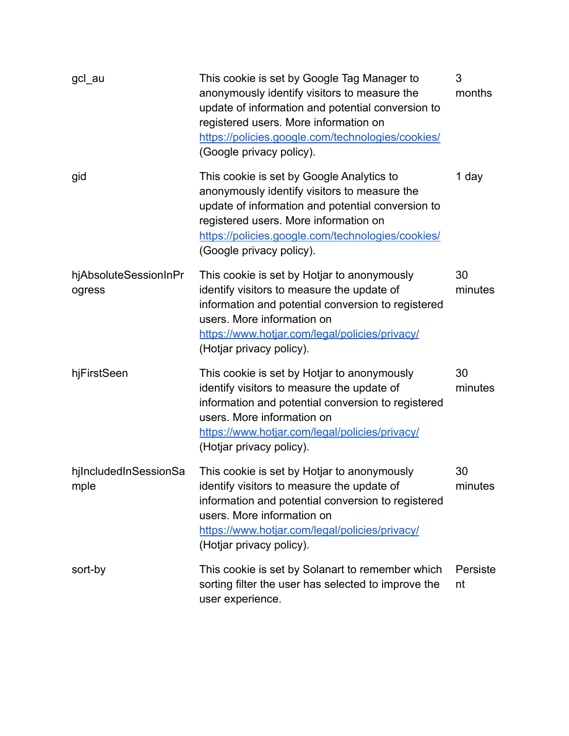| gcl au                          | This cookie is set by Google Tag Manager to<br>anonymously identify visitors to measure the<br>update of information and potential conversion to<br>registered users. More information on<br>https://policies.google.com/technologies/cookies/<br>(Google privacy policy). | 3<br>months    |
|---------------------------------|----------------------------------------------------------------------------------------------------------------------------------------------------------------------------------------------------------------------------------------------------------------------------|----------------|
| gid                             | This cookie is set by Google Analytics to<br>anonymously identify visitors to measure the<br>update of information and potential conversion to<br>registered users. More information on<br>https://policies.google.com/technologies/cookies/<br>(Google privacy policy).   | 1 day          |
| hjAbsoluteSessionInPr<br>ogress | This cookie is set by Hotjar to anonymously<br>identify visitors to measure the update of<br>information and potential conversion to registered<br>users. More information on<br>https://www.hotjar.com/legal/policies/privacy/<br>(Hotjar privacy policy).                | 30<br>minutes  |
| hjFirstSeen                     | This cookie is set by Hotjar to anonymously<br>identify visitors to measure the update of<br>information and potential conversion to registered<br>users. More information on<br>https://www.hotjar.com/legal/policies/privacy/<br>(Hotjar privacy policy).                | 30<br>minutes  |
| hilncludedInSessionSa<br>mple   | This cookie is set by Hotjar to anonymously<br>identify visitors to measure the update of<br>information and potential conversion to registered<br>users. More information on<br>https://www.hotjar.com/legal/policies/privacy/<br>(Hotjar privacy policy).                | 30<br>minutes  |
| sort-by                         | This cookie is set by Solanart to remember which<br>sorting filter the user has selected to improve the<br>user experience.                                                                                                                                                | Persiste<br>nt |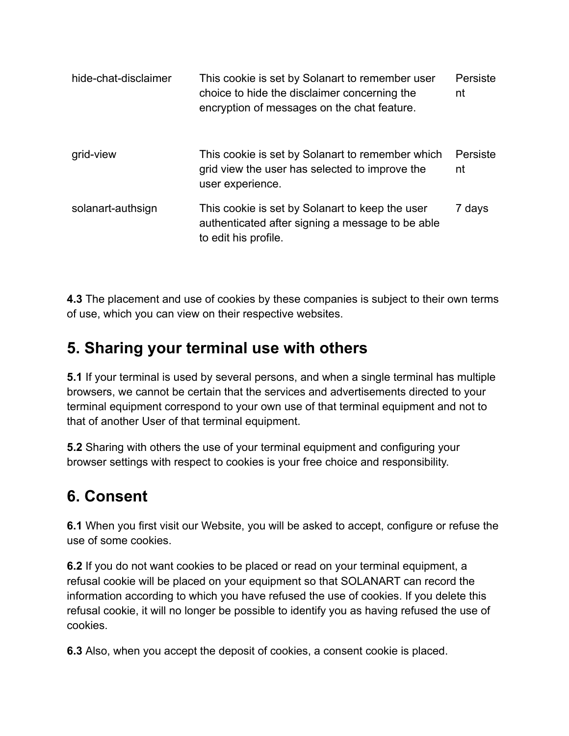| hide-chat-disclaimer | This cookie is set by Solanart to remember user<br>choice to hide the disclaimer concerning the<br>encryption of messages on the chat feature. | Persiste<br>nt |
|----------------------|------------------------------------------------------------------------------------------------------------------------------------------------|----------------|
| grid-view            | This cookie is set by Solanart to remember which<br>grid view the user has selected to improve the<br>user experience.                         | Persiste<br>nt |
| solanart-authsign    | This cookie is set by Solanart to keep the user<br>authenticated after signing a message to be able<br>to edit his profile.                    | 7 days         |

**4.3** The placement and use of cookies by these companies is subject to their own terms of use, which you can view on their respective websites.

# **5. Sharing your terminal use with others**

**5.1** If your terminal is used by several persons, and when a single terminal has multiple browsers, we cannot be certain that the services and advertisements directed to your terminal equipment correspond to your own use of that terminal equipment and not to that of another User of that terminal equipment.

**5.2** Sharing with others the use of your terminal equipment and configuring your browser settings with respect to cookies is your free choice and responsibility.

### **6. Consent**

**6.1** When you first visit our Website, you will be asked to accept, configure or refuse the use of some cookies.

**6.2** If you do not want cookies to be placed or read on your terminal equipment, a refusal cookie will be placed on your equipment so that SOLANART can record the information according to which you have refused the use of cookies. If you delete this refusal cookie, it will no longer be possible to identify you as having refused the use of cookies.

**6.3** Also, when you accept the deposit of cookies, a consent cookie is placed.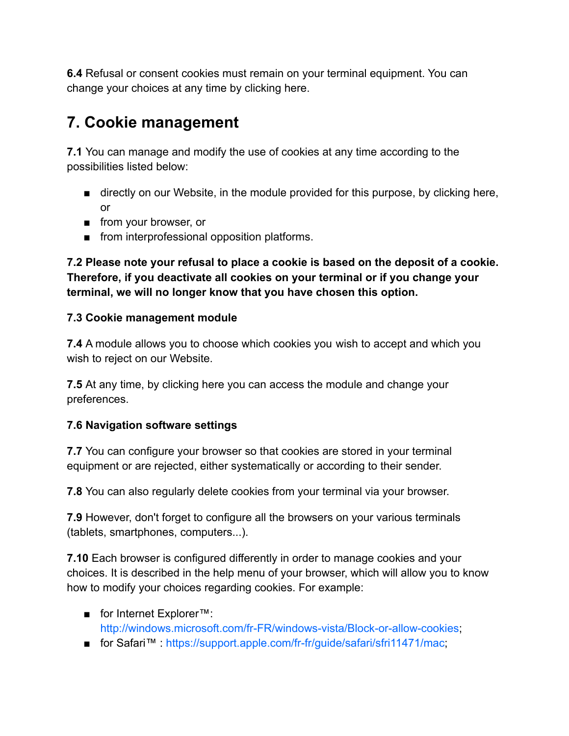**6.4** Refusal or consent cookies must remain on your terminal equipment. You can change your choices at any time by clicking here.

# **7. Cookie management**

**7.1** You can manage and modify the use of cookies at any time according to the possibilities listed below:

- directly on our Website, in the module provided for this purpose, by clicking here, or
- from your browser, or
- from interprofessional opposition platforms.

**7.2 Please note your refusal to place a cookie is based on the deposit of a cookie. Therefore, if you deactivate all cookies on your terminal or if you change your terminal, we will no longer know that you have chosen this option.**

#### **7.3 Cookie management module**

**7.4** A module allows you to choose which cookies you wish to accept and which you wish to reject on our Website.

**7.5** At any time, by clicking here you can access the module and change your preferences.

#### **7.6 Navigation software settings**

**7.7** You can configure your browser so that cookies are stored in your terminal equipment or are rejected, either systematically or according to their sender.

**7.8** You can also regularly delete cookies from your terminal via your browser.

**7.9** However, don't forget to configure all the browsers on your various terminals (tablets, smartphones, computers...).

**7.10** Each browser is configured differently in order to manage cookies and your choices. It is described in the help menu of your browser, which will allow you to know how to modify your choices regarding cookies. For example:

- for Internet Explorer™: <http://windows.microsoft.com/fr-FR/windows-vista/Block-or-allow-cookies>;
- for Safari<sup>™</sup> [https://support.apple.com/fr-fr/guide/safari/sfri11471/mac;](https://support.apple.com/fr-fr/guide/safari/sfri11471/mac)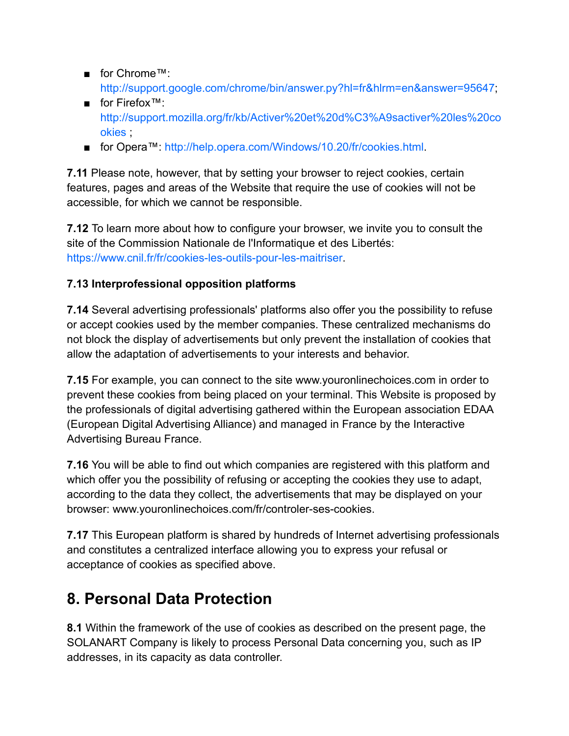- for Chrome™: [http://support.google.com/chrome/bin/answer.py?hl=fr&hlrm=en&answer=95647;](http://support.google.com/chrome/bin/answer.py?hl=fr&hlrm=en&answer=95647)
- for Firefox™: [http://support.mozilla.org/fr/kb/Activer%20et%20d%C3%A9sactiver%20les%20co](http://support.mozilla.org/fr/kb/Activer%20et%20d%C3%A9sactiver%20les%20cookies) **[okies](http://support.mozilla.org/fr/kb/Activer%20et%20d%C3%A9sactiver%20les%20cookies)**
- for Opera™: <http://help.opera.com/Windows/10.20/fr/cookies.html>.

**7.11** Please note, however, that by setting your browser to reject cookies, certain features, pages and areas of the Website that require the use of cookies will not be accessible, for which we cannot be responsible.

**7.12** To learn more about how to configure your browser, we invite you to consult the site of the Commission Nationale de l'Informatique et des Libertés: [https://www.cnil.fr/fr/cookies-les-outils-pour-les-maitriser.](https://www.cnil.fr/fr/cookies-les-outils-pour-les-maitriser)

#### **7.13 Interprofessional opposition platforms**

**7.14** Several advertising professionals' platforms also offer you the possibility to refuse or accept cookies used by the member companies. These centralized mechanisms do not block the display of advertisements but only prevent the installation of cookies that allow the adaptation of advertisements to your interests and behavior.

**7.15** For example, you can connect to the site www.youronlinechoices.com in order to prevent these cookies from being placed on your terminal. This Website is proposed by the professionals of digital advertising gathered within the European association EDAA (European Digital Advertising Alliance) and managed in France by the Interactive Advertising Bureau France.

**7.16** You will be able to find out which companies are registered with this platform and which offer you the possibility of refusing or accepting the cookies they use to adapt, according to the data they collect, the advertisements that may be displayed on your browser: www.youronlinechoices.com/fr/controler-ses-cookies.

**7.17** This European platform is shared by hundreds of Internet advertising professionals and constitutes a centralized interface allowing you to express your refusal or acceptance of cookies as specified above.

### **8. Personal Data Protection**

**8.1** Within the framework of the use of cookies as described on the present page, the SOLANART Company is likely to process Personal Data concerning you, such as IP addresses, in its capacity as data controller.